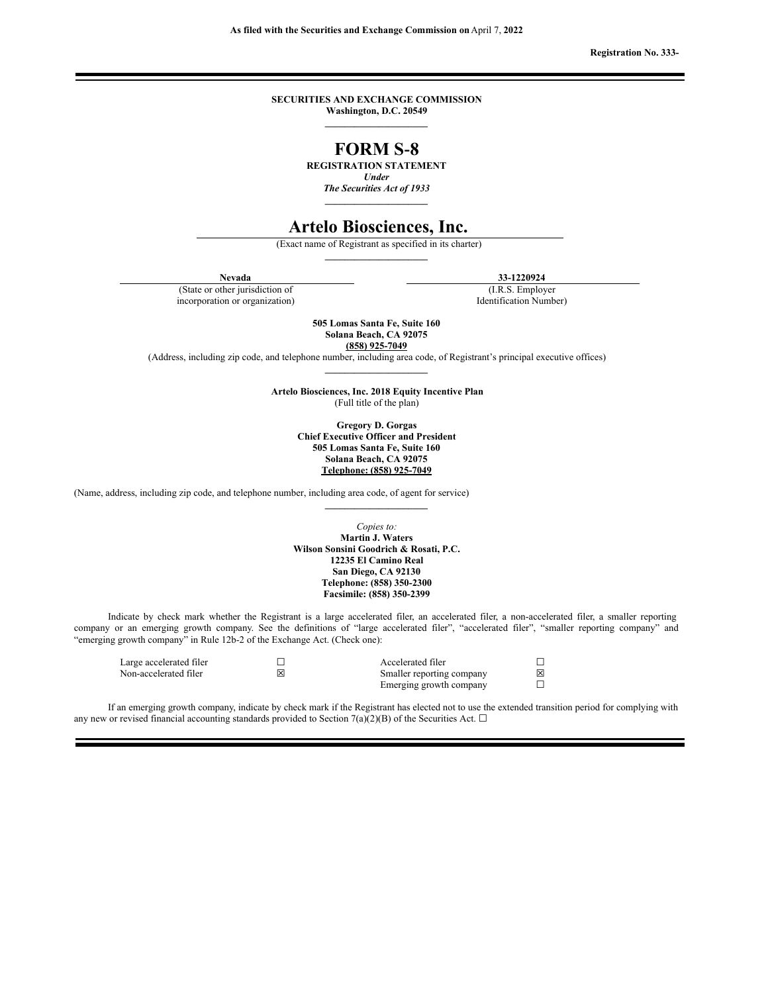**Registration No. 333-**

## **SECURITIES AND EXCHANGE COMMISSION Washington, D.C. 20549**

**\_\_\_\_\_\_\_\_\_\_\_\_\_\_\_\_\_\_\_\_\_**

# **FORM S‑8**

**REGISTRATION STATEMENT**

*Under*

*The Securities Act of 1933* **\_\_\_\_\_\_\_\_\_\_\_\_\_\_\_\_\_\_\_\_\_**

# **Artelo Biosciences, Inc.**

(Exact name of Registrant as specified in its charter) **\_\_\_\_\_\_\_\_\_\_\_\_\_\_\_\_\_\_\_\_\_**

(State or other jurisdiction of incorporation or organization)

**Nevada 33-1220924**

(I.R.S. Employer Identification Number)

**505 Lomas Santa Fe, Suite 160 Solana Beach, CA 92075**

**(858) 925-7049**

(Address, including zip code, and telephone number, including area code, of Registrant's principal executive offices) **\_\_\_\_\_\_\_\_\_\_\_\_\_\_\_\_\_\_\_\_\_**

> **Artelo Biosciences, Inc. 2018 Equity Incentive Plan** (Full title of the plan)

> > **Gregory D. Gorgas Chief Executive Officer and President 505 Lomas Santa Fe, Suite 160 Solana Beach, CA 92075 Telephone: (858) 925-7049**

(Name, address, including zip code, and telephone number, including area code, of agent for service)

*Copies to:* **Martin J. Waters Wilson Sonsini Goodrich & Rosati, P.C. 12235 El Camino Real San Diego, CA 92130 Telephone: (858) 350-2300 Facsimile: (858) 350-2399**

**\_\_\_\_\_\_\_\_\_\_\_\_\_\_\_\_\_\_\_\_\_**

Indicate by check mark whether the Registrant is a large accelerated filer, an accelerated filer, a non-accelerated filer, a smaller reporting company or an emerging growth company. See the definitions of "large accelerated filer", "accelerated filer", "smaller reporting company" and "emerging growth company" in Rule 12b-2 of the Exchange Act. (Check one):

Large accelerated filer ☐ Accelerated filer ☐ Non-accelerated filer  $\boxtimes$  Smaller reporting company Emerging growth company  $\Box$ 

If an emerging growth company, indicate by check mark if the Registrant has elected not to use the extended transition period for complying with any new or revised financial accounting standards provided to Section 7(a)(2)(B) of the Securities Act.  $\Box$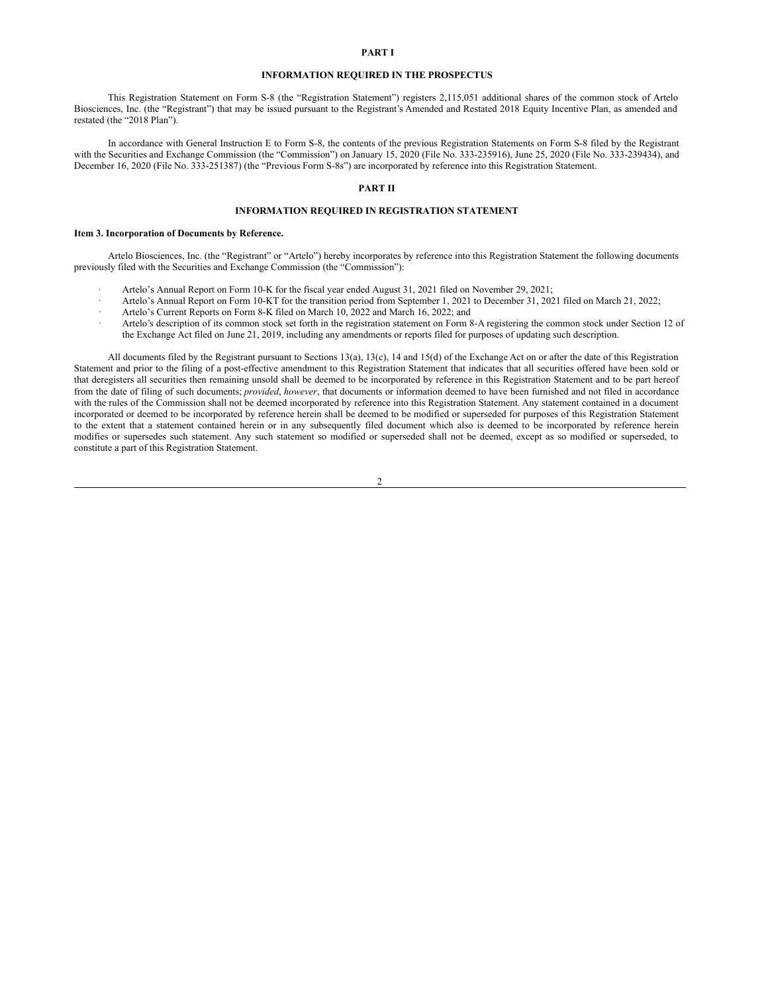#### **PART I**

#### **INFORMATION REQUIRED IN THE PROSPECTUS**

This Registration Statement on Form S-8 (the "Registration Statement") registers 2,115,051 additional shares of the common stock of Artelo Biosciences, Inc. (the "Registrant") that may be issued pursuant to the Registrant's Amended and Restated 2018 Equity Incentive Plan, as amended and restated (the "2018 Plan").

In accordance with General Instruction E to Form S-8, the contents of the previous Registration Statements on Form S-8 filed by the Registrant with the Securities and Exchange Commission (the "Commission") on January 15, 2020 (File No. 333-235916), June 25, 2020 (File No. 333-239434), and December 16, 2020 (File No. 333-251387) (the "Previous Form S-8s") are incorporated by reference into this Registration Statement.

## **PART II**

### **INFORMATION REQUIRED IN REGISTRATION STATEMENT**

#### **Item 3. Incorporation of Documents by Reference.**

Artelo Biosciences, Inc. (the "Registrant" or "Artelo") hereby incorporates by reference into this Registration Statement the following documents previously filed with the Securities and Exchange Commission (the "Commission"):

- Artelo's Annual Report on Form 10-K for the fiscal year ended August 31, 2021 filed on November 29, 2021;
- · Artelo's Annual Report on Form 10-KT for the transition period from September 1, 2021 to December 31, 2021 filed on March 21, 2022;
- Artelo's Current Reports on Form 8-K filed on March 10, 2022 and March 16, 2022; and
- · Artelo's description of its common stock set forth in the registration statement on Form 8-A registering the common stock under Section 12 of the Exchange Act filed on June 21, 2019, including any amendments or reports filed for purposes of updating such description.

All documents filed by the Registrant pursuant to Sections 13(a), 13(c), 14 and 15(d) of the Exchange Act on or after the date of this Registration Statement and prior to the filing of a post-effective amendment to this Registration Statement that indicates that all securities offered have been sold or that deregisters all securities then remaining unsold shall be deemed to be incorporated by reference in this Registration Statement and to be part hereof from the date of filing of such documents; *provided*, *however*, that documents or information deemed to have been furnished and not filed in accordance with the rules of the Commission shall not be deemed incorporated by reference into this Registration Statement. Any statement contained in a document incorporated or deemed to be incorporated by reference herein shall be deemed to be modified or superseded for purposes of this Registration Statement to the extent that a statement contained herein or in any subsequently filed document which also is deemed to be incorporated by reference herein modifies or supersedes such statement. Any such statement so modified or superseded shall not be deemed, except as so modified or superseded, to constitute a part of this Registration Statement.

 $\mathcal{L}$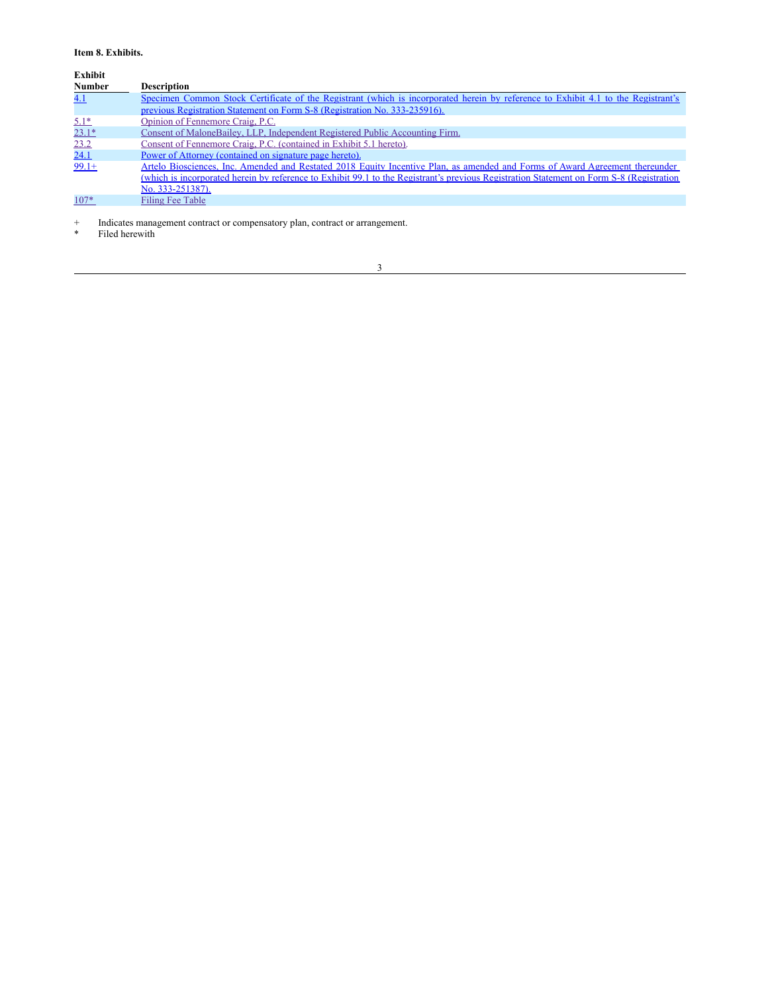# **Item 8. Exhibits.**

**Exhibit**

| <b>Number</b> | <b>Description</b>                                                                                                                       |  |  |  |  |  |  |  |
|---------------|------------------------------------------------------------------------------------------------------------------------------------------|--|--|--|--|--|--|--|
| 4.1           | Specimen Common Stock Certificate of the Registrant (which is incorporated herein by reference to Exhibit 4.1 to the Registrant's        |  |  |  |  |  |  |  |
|               | previous Registration Statement on Form S-8 (Registration No. 333-235916).                                                               |  |  |  |  |  |  |  |
| $5.1*$        | Opinion of Fennemore Craig, P.C.                                                                                                         |  |  |  |  |  |  |  |
| $23.1*$       | Consent of MaloneBailey, LLP, Independent Registered Public Accounting Firm.                                                             |  |  |  |  |  |  |  |
| 23.2          | Consent of Fennemore Craig, P.C. (contained in Exhibit 5.1 hereto).                                                                      |  |  |  |  |  |  |  |
| 24.1          | Power of Attorney (contained on signature page hereto).                                                                                  |  |  |  |  |  |  |  |
| $99.1+$       | Artelo Biosciences, Inc. Amended and Restated 2018 Equity Incentive Plan, as amended and Forms of Award Agreement thereunder             |  |  |  |  |  |  |  |
|               | (which is incorporated herein by reference to Exhibit 99.1 to the Registrant's previous Registration Statement on Form S-8 (Registration |  |  |  |  |  |  |  |
|               | No. 333-251387).                                                                                                                         |  |  |  |  |  |  |  |
| $107*$        | Filing Fee Table                                                                                                                         |  |  |  |  |  |  |  |

+ Indicates management contract or compensatory plan, contract or arrangement.

\* Filed herewith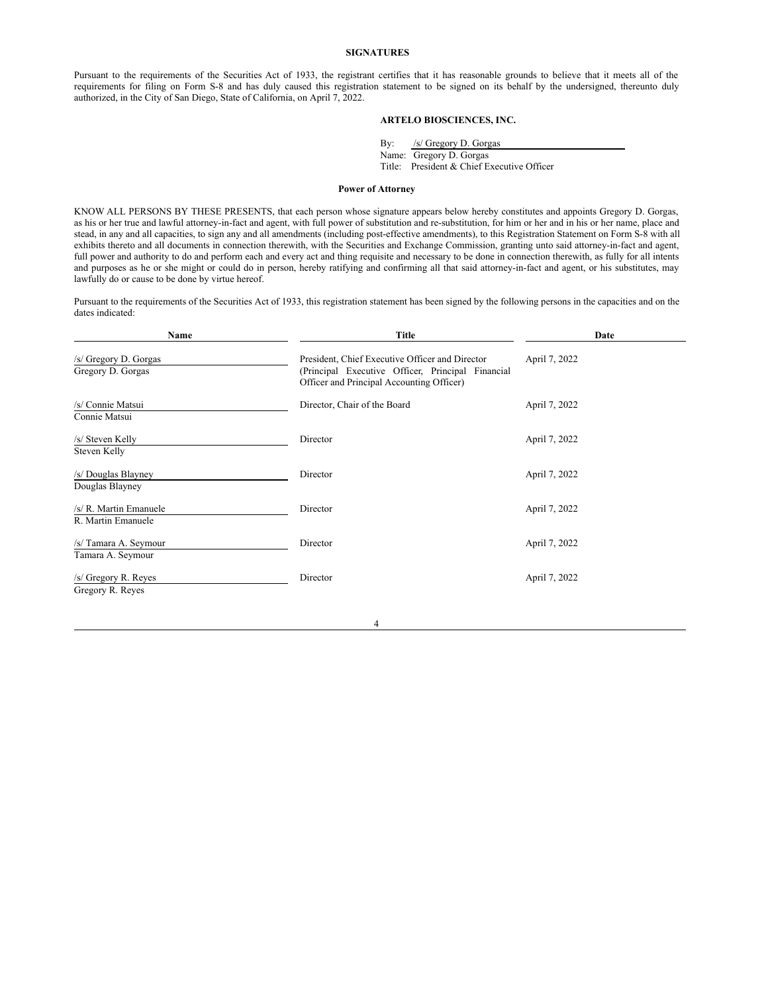#### **SIGNATURES**

Pursuant to the requirements of the Securities Act of 1933, the registrant certifies that it has reasonable grounds to believe that it meets all of the requirements for filing on Form S-8 and has duly caused this registration statement to be signed on its behalf by the undersigned, thereunto duly authorized, in the City of San Diego, State of California, on April 7, 2022.

# **ARTELO BIOSCIENCES, INC.**

By: /s/ Gregory D. Gorgas Name: Gregory D. Gorgas Title: President & Chief Executive Officer

#### <span id="page-3-0"></span>**Power of Attorney**

KNOW ALL PERSONS BY THESE PRESENTS, that each person whose signature appears below hereby constitutes and appoints Gregory D. Gorgas, as his or her true and lawful attorney-in-fact and agent, with full power of substitution and re-substitution, for him or her and in his or her name, place and stead, in any and all capacities, to sign any and all amendments (including post-effective amendments), to this Registration Statement on Form S-8 with all exhibits thereto and all documents in connection therewith, with the Securities and Exchange Commission, granting unto said attorney-in-fact and agent, full power and authority to do and perform each and every act and thing requisite and necessary to be done in connection therewith, as fully for all intents and purposes as he or she might or could do in person, hereby ratifying and confirming all that said attorney-in-fact and agent, or his substitutes, may lawfully do or cause to be done by virtue hereof.

Pursuant to the requirements of the Securities Act of 1933, this registration statement has been signed by the following persons in the capacities and on the dates indicated:

| Name                                         | <b>Title</b>                                                                                                                                      | Date          |  |  |  |
|----------------------------------------------|---------------------------------------------------------------------------------------------------------------------------------------------------|---------------|--|--|--|
| /s/ Gregory D. Gorgas<br>Gregory D. Gorgas   | President, Chief Executive Officer and Director<br>(Principal Executive Officer, Principal Financial<br>Officer and Principal Accounting Officer) | April 7, 2022 |  |  |  |
| /s/ Connie Matsui<br>Connie Matsui           | Director, Chair of the Board                                                                                                                      | April 7, 2022 |  |  |  |
| /s/ Steven Kelly<br>Steven Kelly             | Director                                                                                                                                          | April 7, 2022 |  |  |  |
| /s/ Douglas Blayney<br>Douglas Blayney       | Director                                                                                                                                          | April 7, 2022 |  |  |  |
| /s/ R. Martin Emanuele<br>R. Martin Emanuele | Director                                                                                                                                          | April 7, 2022 |  |  |  |
| /s/ Tamara A. Seymour<br>Tamara A. Seymour   | Director                                                                                                                                          | April 7, 2022 |  |  |  |
| /s/ Gregory R. Reyes<br>Gregory R. Reyes     | Director                                                                                                                                          | April 7, 2022 |  |  |  |

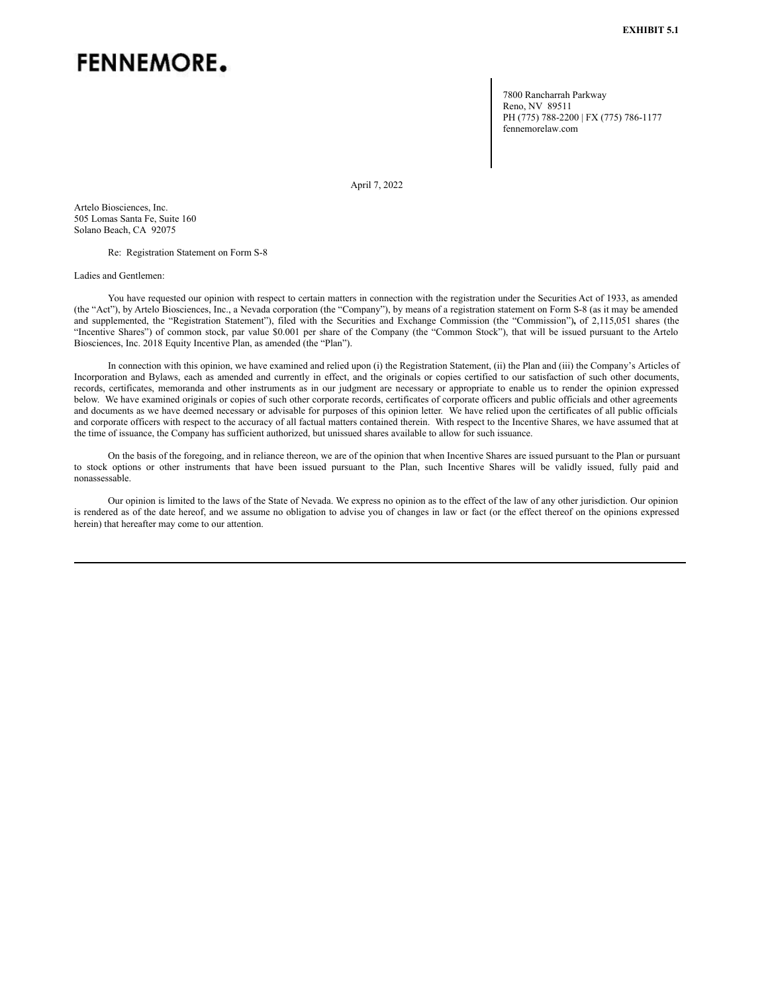# <span id="page-4-0"></span>**FENNEMORE.**

7800 Rancharrah Parkway Reno, NV 89511 PH (775) 788-2200 | FX (775) 786-1177 fennemorelaw.com

April 7, 2022

Artelo Biosciences, Inc. 505 Lomas Santa Fe, Suite 160 Solano Beach, CA 92075

Re: Registration Statement on Form S-8

Ladies and Gentlemen:

You have requested our opinion with respect to certain matters in connection with the registration under the Securities Act of 1933, as amended (the "Act"), by Artelo Biosciences, Inc., a Nevada corporation (the "Company"), by means of a registration statement on Form S-8 (as it may be amended and supplemented, the "Registration Statement"), filed with the Securities and Exchange Commission (the "Commission")**,** of 2,115,051 shares (the "Incentive Shares") of common stock, par value \$0.001 per share of the Company (the "Common Stock"), that will be issued pursuant to the Artelo Biosciences, Inc. 2018 Equity Incentive Plan, as amended (the "Plan").

In connection with this opinion, we have examined and relied upon (i) the Registration Statement, (ii) the Plan and (iii) the Company's Articles of Incorporation and Bylaws, each as amended and currently in effect, and the originals or copies certified to our satisfaction of such other documents, records, certificates, memoranda and other instruments as in our judgment are necessary or appropriate to enable us to render the opinion expressed below. We have examined originals or copies of such other corporate records, certificates of corporate officers and public officials and other agreements and documents as we have deemed necessary or advisable for purposes of this opinion letter. We have relied upon the certificates of all public officials and corporate officers with respect to the accuracy of all factual matters contained therein. With respect to the Incentive Shares, we have assumed that at the time of issuance, the Company has sufficient authorized, but unissued shares available to allow for such issuance.

On the basis of the foregoing, and in reliance thereon, we are of the opinion that when Incentive Shares are issued pursuant to the Plan or pursuant to stock options or other instruments that have been issued pursuant to the Plan, such Incentive Shares will be validly issued, fully paid and nonassessable.

Our opinion is limited to the laws of the State of Nevada. We express no opinion as to the effect of the law of any other jurisdiction. Our opinion is rendered as of the date hereof, and we assume no obligation to advise you of changes in law or fact (or the effect thereof on the opinions expressed herein) that hereafter may come to our attention.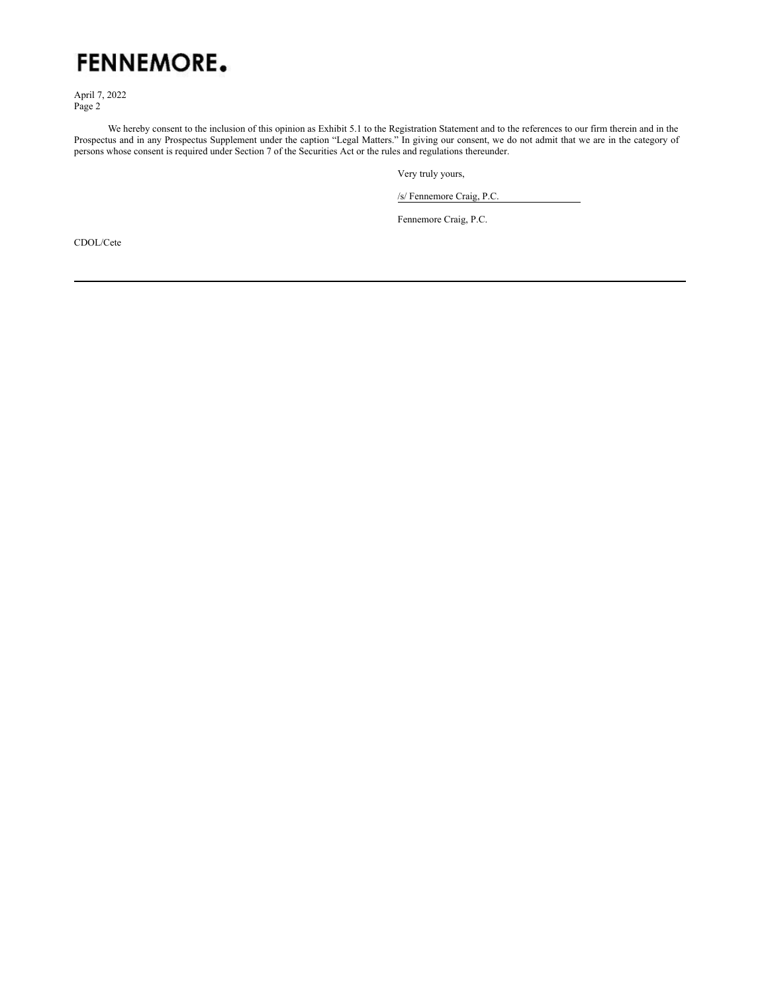

April 7, 2022 Page 2

We hereby consent to the inclusion of this opinion as Exhibit 5.1 to the Registration Statement and to the references to our firm therein and in the Prospectus and in any Prospectus Supplement under the caption "Legal Matters." In giving our consent, we do not admit that we are in the category of persons whose consent is required under Section 7 of the Securities Act or the rules and regulations thereunder.

Very truly yours,

/s/ Fennemore Craig, P.C.

Fennemore Craig, P.C.

CDOL/Cete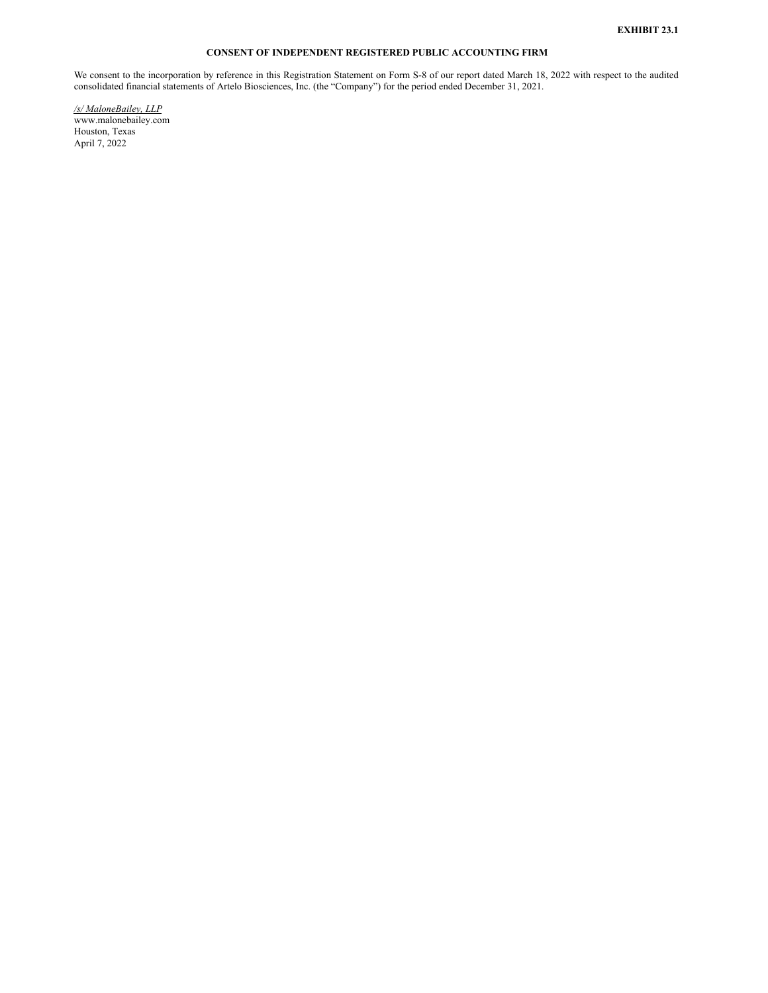# **CONSENT OF INDEPENDENT REGISTERED PUBLIC ACCOUNTING FIRM**

<span id="page-6-0"></span>We consent to the incorporation by reference in this Registration Statement on Form S-8 of our report dated March 18, 2022 with respect to the audited consolidated financial statements of Artelo Biosciences, Inc. (the "Company") for the period ended December 31, 2021.

*/s/ MaloneBailey, LLP* www.malonebailey.com Houston, Texas April 7, 2022